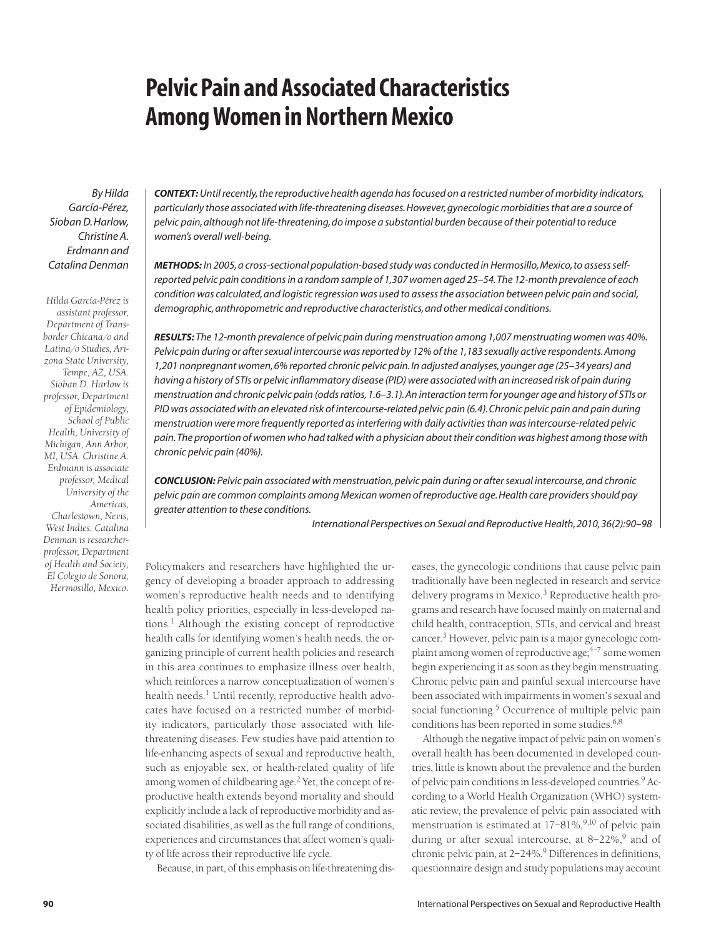# **Pelvic Pain and Associated Characteristics Among Women in Northern Mexico**

*By Hilda García-Pérez, Sioban D. Harlow, Christine A. Erdmann and Catalina Denman*

*Hilda García-Pérez is assistant professor, Department of Transborder Chicana/o and Latina/o Studies, Arizona State University, Tempe, AZ, USA. Sioban D. Harlow is professor, Department of Epidemiology, School of Public Health, University of Michigan, Ann Arbor, MI, USA. Christine A. Erdmann is associate professor, Medical University of the Americas, Charlestown, Nevis, West Indies. Catalina Denman is researcherprofessor, Department of Health and Society, El Colegio de Sonora, Hermosillo, Mexico.* *CONTEXT:Until recently, the reproductive health agenda has focused on a restricted number of morbidity indicators, particularly those associated with life-threatening diseases. However, gynecologic morbidities that are a source of pelvic pain, although not life-threatening, do impose a substantial burden because of their potential to reduce women's overall well-being.*

*METHODS: In 2005, a cross-sectional population-based study was conducted in Hermosillo, Mexico, to assess selfreported pelvic pain conditions in a random sample of 1,307 women aged 25–54. The 12-month prevalence of each condition was calculated, and logistic regression was used to assess the association between pelvic pain and social, demographic, anthropometric and reproductive characteristics, and other medical conditions.*

*RESULTS: The 12-month prevalence of pelvic pain during menstruation among 1,007 menstruating women was 40%. Pelvic pain during or after sexual intercourse was reported by 12% of the 1,183 sexually active respondents. Among 1,201 nonpregnant women, 6% reported chronic pelvic pain. In adjusted analyses, younger age (25–34 years) and having a history of STIs or pelvic inflammatory disease (PID) were associated with an increased risk of pain during menstruation and chronic pelvic pain (odds ratios, 1.6–3.1). An interaction term for younger age and history of STIs or PID was associated with an elevated risk of intercourse-related pelvic pain (6.4). Chronic pelvic pain and pain during menstruation were more frequently reported as interfering with daily activities than was intercourse-related pelvic pain. The proportion of women who had talked with a physician about their condition was highest among those with chronic pelvic pain (40%).*

*CONCLUSION: Pelvic pain associated with menstruation, pelvic pain during or after sexual intercourse, and chronic pelvic pain are common complaints among Mexican women of reproductive age. Health care providers should pay greater attention to these conditions.*

*International Perspectives on Sexual and Reproductive Health, 2010, 36(2):90–98*

Policymakers and researchers have highlighted the urgency of developing a broader approach to addressing women's reproductive health needs and to identifying health policy priorities, especially in less-developed nations.<sup>1</sup> Although the existing concept of reproductive health calls for identifying women's health needs, the organizing principle of current health policies and research in this area continues to emphasize illness over health, which reinforces a narrow conceptualization of women's health needs.<sup>1</sup> Until recently, reproductive health advocates have focused on a restricted number of morbidity indicators, particularly those associated with lifethreatening diseases. Few studies have paid attention to life-enhancing aspects of sexual and reproductive health, such as enjoyable sex, or health-related quality of life among women of childbearing age.<sup>2</sup> Yet, the concept of reproductive health extends beyond mortality and should explicitly include a lack of reproductive morbidity and associated disabilities, as well as the full range of conditions, experiences and circumstances that affect women's quality of life across their reproductive life cycle.

Because, in part, of this emphasis on life-threatening dis-

eases, the gynecologic conditions that cause pelvic pain traditionally have been neglected in research and service delivery programs in Mexico.<sup>3</sup> Reproductive health programs and research have focused mainly on maternal and child health, contraception, STIs, and cervical and breast cancer.<sup>3</sup> However, pelvic pain is a major gynecologic complaint among women of reproductive age;  $4-7$  some women begin experiencing it as soon as they begin menstruating. Chronic pelvic pain and painful sexual intercourse have been associated with impairments in women's sexual and social functioning.<sup>5</sup> Occurrence of multiple pelvic pain conditions has been reported in some studies.<sup>6,8</sup>

Although the negative impact of pelvic pain on women's overall health has been documented in developed countries, little is known about the prevalence and the burden of pelvic pain conditions in less-developed countries.9 According to a World Health Organization (WHO) systematic review, the prevalence of pelvic pain associated with menstruation is estimated at  $17-81\%, ^{9,10}$  of pelvic pain during or after sexual intercourse, at  $8-22\%,^9$  and of chronic pelvic pain, at 2-24%.<sup>9</sup> Differences in definitions, questionnaire design and study populations may account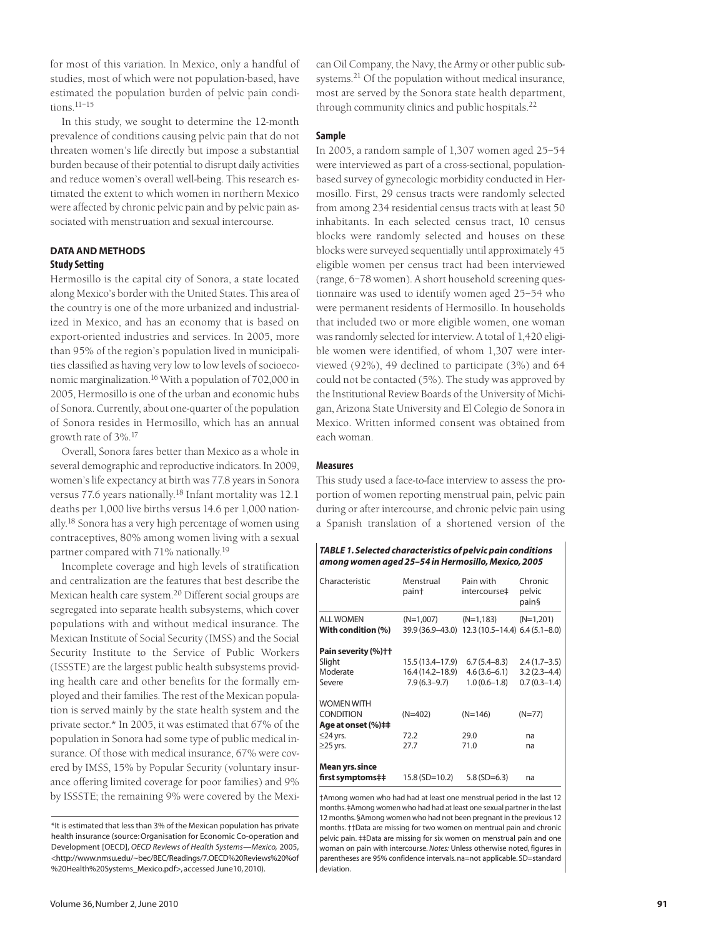for most of this variation. In Mexico, only a handful of studies, most of which were not population-based, have estimated the population burden of pelvic pain conditions.11–15

In this study, we sought to determine the 12-month prevalence of conditions causing pelvic pain that do not threaten women's life directly but impose a substantial burden because of their potential to disrupt daily activities and reduce women's overall well-being. This research estimated the extent to which women in northern Mexico were affected by chronic pelvic pain and by pelvic pain associated with menstruation and sexual intercourse.

# **DATA AND METHODS Study Setting**

Hermosillo is the capital city of Sonora, a state located along Mexico's border with the United States. This area of the country is one of the more urbanized and industrialized in Mexico, and has an economy that is based on export-oriented industries and services. In 2005, more than 95% of the region's population lived in municipalities classified as having very low to low levels of socioeconomic marginalization.16 With a population of 702,000 in 2005, Hermosillo is one of the urban and economic hubs of Sonora. Currently, about one-quarter of the population of Sonora resides in Hermosillo, which has an annual growth rate of 3%.17

Overall, Sonora fares better than Mexico as a whole in several demographic and reproductive indicators. In 2009, women's life expectancy at birth was 77.8 years in Sonora versus 77.6 years nationally.<sup>18</sup> Infant mortality was 12.1 deaths per 1,000 live births versus 14.6 per 1,000 nationally.18 Sonora has a very high percentage of women using contraceptives, 80% among women living with a sexual partner compared with 71% nationally.<sup>19</sup>

Incomplete coverage and high levels of stratification and centralization are the features that best describe the Mexican health care system.20 Different social groups are segregated into separate health subsystems, which cover populations with and without medical insurance. The Mexican Institute of Social Security (IMSS) and the Social Security Institute to the Service of Public Workers (ISSSTE) are the largest public health subsystems providing health care and other benefits for the formally employed and their families. The rest of the Mexican population is served mainly by the state health system and the private sector.\* In 2005, it was estimated that 67% of the population in Sonora had some type of public medical insurance. Of those with medical insurance, 67% were covered by IMSS, 15% by Popular Security (voluntary insurance offering limited coverage for poor families) and 9% by ISSSTE; the remaining 9% were covered by the Mexi-

can Oil Company, the Navy, the Army or other public subsystems.<sup>21</sup> Of the population without medical insurance, most are served by the Sonora state health department, through community clinics and public hospitals.<sup>22</sup>

#### **Sample**

In 2005, a random sample of 1,307 women aged 25–54 were interviewed as part of a cross-sectional, populationbased survey of gynecologic morbidity conducted in Hermosillo. First, 29 census tracts were randomly selected from among 234 residential census tracts with at least 50 inhabitants. In each selected census tract, 10 census blocks were randomly selected and houses on these blocks were surveyed sequentially until approximately 45 eligible women per census tract had been interviewed (range, 6–78 women). A short household screening questionnaire was used to identify women aged 25–54 who were permanent residents of Hermosillo. In households that included two or more eligible women, one woman was randomly selected for interview. A total of 1,420 eligible women were identified, of whom 1,307 were interviewed (92%), 49 declined to participate (3%) and 64 could not be contacted (5%). The study was approved by the Institutional Review Boards of the University of Michigan, Arizona State University and El Colegio de Sonora in Mexico. Written informed consent was obtained from each woman.

#### **Measures**

This study used a face-to-face interview to assess the proportion of women reporting menstrual pain, pelvic pain during or after intercourse, and chronic pelvic pain using a Spanish translation of a shortened version of the

| <b>TABLE 1. Selected characteristics of pelvic pain conditions</b> |
|--------------------------------------------------------------------|
| among women aged 25-54 in Hermosillo, Mexico, 2005                 |

| Characteristic                                                                                  | Menstrual<br>pain†                                       | Pain with<br>intercourse‡                                    | Chronic<br>pelvic<br>pain§                           |
|-------------------------------------------------------------------------------------------------|----------------------------------------------------------|--------------------------------------------------------------|------------------------------------------------------|
| <b>ALL WOMEN</b><br>With condition (%)                                                          | (N=1,007)                                                | (N=1,183)<br>39.9 (36.9-43.0) 12.3 (10.5-14.4) 6.4 (5.1-8.0) | $(N=1,201)$                                          |
| Pain severity (%) ++<br>Slight<br>Moderate<br>Severe                                            | 15.5 (13.4–17.9)<br>16.4 (14.2–18.9)<br>$7.9(6.3 - 9.7)$ | $6.7(5.4 - 8.3)$<br>$4.6(3.6-6.1)$<br>$1.0(0.6 - 1.8)$       | $2.4(1.7-3.5)$<br>$3.2(2.3 - 4.4)$<br>$0.7(0.3-1.4)$ |
| <b>WOMEN WITH</b><br><b>CONDITION</b><br>Age at onset (%)##<br>$\leq$ 24 yrs.<br>$\geq$ 25 yrs. | $(N=402)$<br>72.2<br>27.7                                | $(N=146)$<br>29.0<br>71.0                                    | (N=77)<br>na<br>na                                   |
| Mean yrs. since<br>first symptoms##                                                             | 15.8 (SD=10.2)                                           | $5.8$ (SD=6.3)                                               | na                                                   |

†Among women who had had at least one menstrual period in the last 12 months. ‡Among women who had had at least one sexual partner in the last 12 months. §Among women who had not been pregnant in the previous 12 months. ††Data are missing for two women on mentrual pain and chronic pelvic pain. ‡‡Data are missing for six women on menstrual pain and one woman on pain with intercourse. *Notes:* Unless otherwise noted, figures in parentheses are 95% confidence intervals. na=not applicable. SD=standard deviation.

<sup>\*</sup>It is estimated that less than 3% of the Mexican population has private health insurance (source: Organisation for Economic Co-operation and Development [OECD], *OECD Reviews of Health Systems—Mexico,* 2005, <http://www.nmsu.edu/~bec/BEC/Readings/7.OECD%20Reviews%20%of %20Health%20Systems\_Mexico.pdf>, accessed June10, 2010).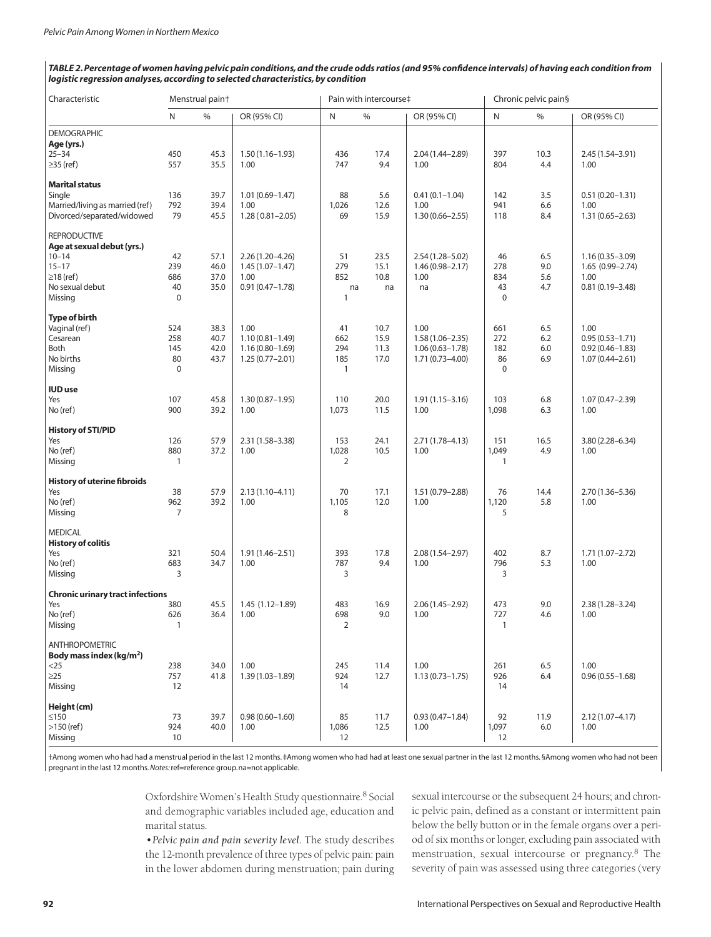#### *TABLE 2. Percentage of women having pelvic pain conditions, and the crude odds ratios (and 95% confidence intervals) of having each condition from logistic regression analyses, according to selected characteristics, by condition*

| $\frac{0}{0}$<br>$\mathsf{N}$<br>$\%$<br>$\%$<br>N<br>OR (95% CI)<br>OR (95% CI)<br>N<br>OR (95% CI)<br><b>DEMOGRAPHIC</b><br>Age (yrs.)<br>$25 - 34$<br>450<br>45.3<br>17.4<br>397<br>10.3<br>$1.50(1.16 - 1.93)$<br>436<br>2.04 (1.44-2.89)<br>$2.45(1.54 - 3.91)$<br>804<br>≥35 (ref)<br>557<br>35.5<br>1.00<br>747<br>9.4<br>1.00<br>4.4<br>1.00<br><b>Marital status</b><br>Single<br>39.7<br>$1.01(0.69 - 1.47)$<br>88<br>5.6<br>$0.41(0.1 - 1.04)$<br>142<br>3.5<br>136<br>$0.51(0.20 - 1.31)$<br>Married/living as married (ref)<br>792<br>39.4<br>941<br>1.00<br>1,026<br>12.6<br>1.00<br>6.6<br>1.00<br>Divorced/separated/widowed<br>79<br>15.9<br>8.4<br>45.5<br>$1.28(0.81 - 2.05)$<br>69<br>$1.30(0.66 - 2.55)$<br>118<br>$1.31(0.65 - 2.63)$<br><b>REPRODUCTIVE</b><br>Age at sexual debut (yrs.)<br>$10 - 14$<br>42<br>57.1<br>$2.26(1.20-4.26)$<br>51<br>23.5<br>$2.54(1.28 - 5.02)$<br>46<br>6.5<br>$1.16(0.35 - 3.09)$<br>239<br>279<br>$15 - 17$<br>46.0<br>$1.45(1.07 - 1.47)$<br>15.1<br>$1.46(0.98 - 2.17)$<br>278<br>9.0<br>$1.65(0.99 - 2.74)$<br>$\geq$ 18 (ref)<br>686<br>37.0<br>852<br>10.8<br>1.00<br>834<br>5.6<br>1.00<br>1.00<br>No sexual debut<br>40<br>35.0<br>$0.91(0.47 - 1.78)$<br>43<br>4.7<br>$0.81(0.19 - 3.48)$<br>na<br>na<br>na<br>Missing<br>$\mathbf 0$<br>$\Omega$<br>1<br>Type of birth<br>1.00<br>Vaginal (ref)<br>524<br>38.3<br>41<br>10.7<br>1.00<br>661<br>6.5<br>1.00<br>272<br>Cesarean<br>258<br>40.7<br>$1.10(0.81 - 1.49)$<br>662<br>15.9<br>$1.58(1.06 - 2.35)$<br>6.2<br>$0.95(0.53 - 1.71)$<br>Both<br>145<br>42.0<br>$1.16(0.80 - 1.69)$<br>294<br>11.3<br>182<br>6.0<br>$1.06(0.63 - 1.78)$<br>$0.92(0.46 - 1.83)$<br>No births<br>80<br>43.7<br>17.0<br>86<br>6.9<br>$1.25(0.77 - 2.01)$<br>185<br>$1.71(0.73 - 4.00)$<br>$1.07(0.44 - 2.61)$<br>$\mathbf 0$<br>$\mathbf{1}$<br>$\mathbf 0$<br>Missing<br><b>IUD</b> use<br>103<br>Yes<br>107<br>45.8<br>$1.30(0.87 - 1.95)$<br>110<br>20.0<br>$1.91(1.15 - 3.16)$<br>6.8<br>$1.07(0.47 - 2.39)$<br>No (ref)<br>900<br>39.2<br>1.00<br>1,073<br>1,098<br>6.3<br>11.5<br>1.00<br>1.00<br><b>History of STI/PID</b><br>Yes<br>126<br>57.9<br>2.31 (1.58-3.38)<br>153<br>24.1<br>$2.71(1.78 - 4.13)$<br>151<br>16.5<br>$3.80(2.28 - 6.34)$<br>No (ref)<br>880<br>37.2<br>1.00<br>1,028<br>10.5<br>1.00<br>1,049<br>4.9<br>1.00<br>$\overline{2}$<br>Missing<br>$\mathbf{1}$<br>1<br><b>History of uterine fibroids</b><br>38<br>57.9<br>$2.13(1.10-4.11)$<br>70<br>17.1<br>$1.51(0.79 - 2.88)$<br>76<br>14.4<br>Yes<br>$2.70(1.36 - 5.36)$<br>39.2<br>12.0<br>No (ref)<br>962<br>1.00<br>1,105<br>1.00<br>1,120<br>5.8<br>1.00<br>$\overline{7}$<br>8<br>Missing<br>5<br><b>MEDICAL</b><br><b>History of colitis</b><br>321<br>50.4<br>$1.91(1.46 - 2.51)$<br>393<br>17.8<br>$2.08(1.54 - 2.97)$<br>402<br>Yes<br>8.7<br>$1.71(1.07 - 2.72)$<br>5.3<br>No (ref)<br>683<br>34.7<br>787<br>9.4<br>796<br>1.00<br>1.00<br>1.00<br>Missing<br>3<br>3<br>3<br><b>Chronic urinary tract infections</b><br>Yes<br>380<br>473<br>45.5<br>$1.45(1.12-1.89)$<br>483<br>16.9<br>$2.06(1.45 - 2.92)$<br>9.0<br>$2.38(1.28 - 3.24)$<br>No (ref)<br>9.0<br>727<br>626<br>36.4<br>1.00<br>698<br>1.00<br>4.6<br>1.00<br>Missing<br>$\mathbf{1}$<br>2<br>1<br><b>ANTHROPOMETRIC</b><br>Body mass index (kg/m <sup>2</sup> )<br>1.00<br>1.00<br>6.5<br>1.00<br>238<br>34.0<br>245<br>11.4<br>261<br>$<$ 25<br>$\geq$ 25<br>757<br>41.8<br>$1.39(1.03 - 1.89)$<br>924<br>12.7<br>$1.13(0.73 - 1.75)$<br>926<br>6.4<br>$0.96(0.55 - 1.68)$<br>Missing<br>12<br>14<br>14<br>Height (cm)<br>≤150<br>73<br>39.7<br>$0.98(0.60 - 1.60)$<br>85<br>11.7<br>$0.93(0.47 - 1.84)$<br>92<br>11.9<br>$2.12(1.07 - 4.17)$<br>$>150$ (ref)<br>924<br>40.0<br>1.00<br>12.5<br>1.00<br>1,097<br>6.0<br>1,086<br>1.00<br>Missing<br>10<br>12<br>12 | Characteristic | Menstrual pain+ |  | Pain with intercourse‡ |  | Chronic pelvic pain§ |  |  |
|-------------------------------------------------------------------------------------------------------------------------------------------------------------------------------------------------------------------------------------------------------------------------------------------------------------------------------------------------------------------------------------------------------------------------------------------------------------------------------------------------------------------------------------------------------------------------------------------------------------------------------------------------------------------------------------------------------------------------------------------------------------------------------------------------------------------------------------------------------------------------------------------------------------------------------------------------------------------------------------------------------------------------------------------------------------------------------------------------------------------------------------------------------------------------------------------------------------------------------------------------------------------------------------------------------------------------------------------------------------------------------------------------------------------------------------------------------------------------------------------------------------------------------------------------------------------------------------------------------------------------------------------------------------------------------------------------------------------------------------------------------------------------------------------------------------------------------------------------------------------------------------------------------------------------------------------------------------------------------------------------------------------------------------------------------------------------------------------------------------------------------------------------------------------------------------------------------------------------------------------------------------------------------------------------------------------------------------------------------------------------------------------------------------------------------------------------------------------------------------------------------------------------------------------------------------------------------------------------------------------------------------------------------------------------------------------------------------------------------------------------------------------------------------------------------------------------------------------------------------------------------------------------------------------------------------------------------------------------------------------------------------------------------------------------------------------------------------------------------------------------------------------------------------------------------------------------------------------------------------------------------------------------------------------------------------------------------------------------------------------------------------------------------------------------------------------------------------------------------------------------------------------------------------------------------------------------------------------------------------------------------------------------------------------------------------------------------------------------------------------------------------------------------------------------------------------------------|----------------|-----------------|--|------------------------|--|----------------------|--|--|
|                                                                                                                                                                                                                                                                                                                                                                                                                                                                                                                                                                                                                                                                                                                                                                                                                                                                                                                                                                                                                                                                                                                                                                                                                                                                                                                                                                                                                                                                                                                                                                                                                                                                                                                                                                                                                                                                                                                                                                                                                                                                                                                                                                                                                                                                                                                                                                                                                                                                                                                                                                                                                                                                                                                                                                                                                                                                                                                                                                                                                                                                                                                                                                                                                                                                                                                                                                                                                                                                                                                                                                                                                                                                                                                                                                                                                               |                |                 |  |                        |  |                      |  |  |
|                                                                                                                                                                                                                                                                                                                                                                                                                                                                                                                                                                                                                                                                                                                                                                                                                                                                                                                                                                                                                                                                                                                                                                                                                                                                                                                                                                                                                                                                                                                                                                                                                                                                                                                                                                                                                                                                                                                                                                                                                                                                                                                                                                                                                                                                                                                                                                                                                                                                                                                                                                                                                                                                                                                                                                                                                                                                                                                                                                                                                                                                                                                                                                                                                                                                                                                                                                                                                                                                                                                                                                                                                                                                                                                                                                                                                               |                |                 |  |                        |  |                      |  |  |
|                                                                                                                                                                                                                                                                                                                                                                                                                                                                                                                                                                                                                                                                                                                                                                                                                                                                                                                                                                                                                                                                                                                                                                                                                                                                                                                                                                                                                                                                                                                                                                                                                                                                                                                                                                                                                                                                                                                                                                                                                                                                                                                                                                                                                                                                                                                                                                                                                                                                                                                                                                                                                                                                                                                                                                                                                                                                                                                                                                                                                                                                                                                                                                                                                                                                                                                                                                                                                                                                                                                                                                                                                                                                                                                                                                                                                               |                |                 |  |                        |  |                      |  |  |
|                                                                                                                                                                                                                                                                                                                                                                                                                                                                                                                                                                                                                                                                                                                                                                                                                                                                                                                                                                                                                                                                                                                                                                                                                                                                                                                                                                                                                                                                                                                                                                                                                                                                                                                                                                                                                                                                                                                                                                                                                                                                                                                                                                                                                                                                                                                                                                                                                                                                                                                                                                                                                                                                                                                                                                                                                                                                                                                                                                                                                                                                                                                                                                                                                                                                                                                                                                                                                                                                                                                                                                                                                                                                                                                                                                                                                               |                |                 |  |                        |  |                      |  |  |
|                                                                                                                                                                                                                                                                                                                                                                                                                                                                                                                                                                                                                                                                                                                                                                                                                                                                                                                                                                                                                                                                                                                                                                                                                                                                                                                                                                                                                                                                                                                                                                                                                                                                                                                                                                                                                                                                                                                                                                                                                                                                                                                                                                                                                                                                                                                                                                                                                                                                                                                                                                                                                                                                                                                                                                                                                                                                                                                                                                                                                                                                                                                                                                                                                                                                                                                                                                                                                                                                                                                                                                                                                                                                                                                                                                                                                               |                |                 |  |                        |  |                      |  |  |
|                                                                                                                                                                                                                                                                                                                                                                                                                                                                                                                                                                                                                                                                                                                                                                                                                                                                                                                                                                                                                                                                                                                                                                                                                                                                                                                                                                                                                                                                                                                                                                                                                                                                                                                                                                                                                                                                                                                                                                                                                                                                                                                                                                                                                                                                                                                                                                                                                                                                                                                                                                                                                                                                                                                                                                                                                                                                                                                                                                                                                                                                                                                                                                                                                                                                                                                                                                                                                                                                                                                                                                                                                                                                                                                                                                                                                               |                |                 |  |                        |  |                      |  |  |
|                                                                                                                                                                                                                                                                                                                                                                                                                                                                                                                                                                                                                                                                                                                                                                                                                                                                                                                                                                                                                                                                                                                                                                                                                                                                                                                                                                                                                                                                                                                                                                                                                                                                                                                                                                                                                                                                                                                                                                                                                                                                                                                                                                                                                                                                                                                                                                                                                                                                                                                                                                                                                                                                                                                                                                                                                                                                                                                                                                                                                                                                                                                                                                                                                                                                                                                                                                                                                                                                                                                                                                                                                                                                                                                                                                                                                               |                |                 |  |                        |  |                      |  |  |
|                                                                                                                                                                                                                                                                                                                                                                                                                                                                                                                                                                                                                                                                                                                                                                                                                                                                                                                                                                                                                                                                                                                                                                                                                                                                                                                                                                                                                                                                                                                                                                                                                                                                                                                                                                                                                                                                                                                                                                                                                                                                                                                                                                                                                                                                                                                                                                                                                                                                                                                                                                                                                                                                                                                                                                                                                                                                                                                                                                                                                                                                                                                                                                                                                                                                                                                                                                                                                                                                                                                                                                                                                                                                                                                                                                                                                               |                |                 |  |                        |  |                      |  |  |
|                                                                                                                                                                                                                                                                                                                                                                                                                                                                                                                                                                                                                                                                                                                                                                                                                                                                                                                                                                                                                                                                                                                                                                                                                                                                                                                                                                                                                                                                                                                                                                                                                                                                                                                                                                                                                                                                                                                                                                                                                                                                                                                                                                                                                                                                                                                                                                                                                                                                                                                                                                                                                                                                                                                                                                                                                                                                                                                                                                                                                                                                                                                                                                                                                                                                                                                                                                                                                                                                                                                                                                                                                                                                                                                                                                                                                               |                |                 |  |                        |  |                      |  |  |
|                                                                                                                                                                                                                                                                                                                                                                                                                                                                                                                                                                                                                                                                                                                                                                                                                                                                                                                                                                                                                                                                                                                                                                                                                                                                                                                                                                                                                                                                                                                                                                                                                                                                                                                                                                                                                                                                                                                                                                                                                                                                                                                                                                                                                                                                                                                                                                                                                                                                                                                                                                                                                                                                                                                                                                                                                                                                                                                                                                                                                                                                                                                                                                                                                                                                                                                                                                                                                                                                                                                                                                                                                                                                                                                                                                                                                               |                |                 |  |                        |  |                      |  |  |
|                                                                                                                                                                                                                                                                                                                                                                                                                                                                                                                                                                                                                                                                                                                                                                                                                                                                                                                                                                                                                                                                                                                                                                                                                                                                                                                                                                                                                                                                                                                                                                                                                                                                                                                                                                                                                                                                                                                                                                                                                                                                                                                                                                                                                                                                                                                                                                                                                                                                                                                                                                                                                                                                                                                                                                                                                                                                                                                                                                                                                                                                                                                                                                                                                                                                                                                                                                                                                                                                                                                                                                                                                                                                                                                                                                                                                               |                |                 |  |                        |  |                      |  |  |
|                                                                                                                                                                                                                                                                                                                                                                                                                                                                                                                                                                                                                                                                                                                                                                                                                                                                                                                                                                                                                                                                                                                                                                                                                                                                                                                                                                                                                                                                                                                                                                                                                                                                                                                                                                                                                                                                                                                                                                                                                                                                                                                                                                                                                                                                                                                                                                                                                                                                                                                                                                                                                                                                                                                                                                                                                                                                                                                                                                                                                                                                                                                                                                                                                                                                                                                                                                                                                                                                                                                                                                                                                                                                                                                                                                                                                               |                |                 |  |                        |  |                      |  |  |
|                                                                                                                                                                                                                                                                                                                                                                                                                                                                                                                                                                                                                                                                                                                                                                                                                                                                                                                                                                                                                                                                                                                                                                                                                                                                                                                                                                                                                                                                                                                                                                                                                                                                                                                                                                                                                                                                                                                                                                                                                                                                                                                                                                                                                                                                                                                                                                                                                                                                                                                                                                                                                                                                                                                                                                                                                                                                                                                                                                                                                                                                                                                                                                                                                                                                                                                                                                                                                                                                                                                                                                                                                                                                                                                                                                                                                               |                |                 |  |                        |  |                      |  |  |
|                                                                                                                                                                                                                                                                                                                                                                                                                                                                                                                                                                                                                                                                                                                                                                                                                                                                                                                                                                                                                                                                                                                                                                                                                                                                                                                                                                                                                                                                                                                                                                                                                                                                                                                                                                                                                                                                                                                                                                                                                                                                                                                                                                                                                                                                                                                                                                                                                                                                                                                                                                                                                                                                                                                                                                                                                                                                                                                                                                                                                                                                                                                                                                                                                                                                                                                                                                                                                                                                                                                                                                                                                                                                                                                                                                                                                               |                |                 |  |                        |  |                      |  |  |
|                                                                                                                                                                                                                                                                                                                                                                                                                                                                                                                                                                                                                                                                                                                                                                                                                                                                                                                                                                                                                                                                                                                                                                                                                                                                                                                                                                                                                                                                                                                                                                                                                                                                                                                                                                                                                                                                                                                                                                                                                                                                                                                                                                                                                                                                                                                                                                                                                                                                                                                                                                                                                                                                                                                                                                                                                                                                                                                                                                                                                                                                                                                                                                                                                                                                                                                                                                                                                                                                                                                                                                                                                                                                                                                                                                                                                               |                |                 |  |                        |  |                      |  |  |
|                                                                                                                                                                                                                                                                                                                                                                                                                                                                                                                                                                                                                                                                                                                                                                                                                                                                                                                                                                                                                                                                                                                                                                                                                                                                                                                                                                                                                                                                                                                                                                                                                                                                                                                                                                                                                                                                                                                                                                                                                                                                                                                                                                                                                                                                                                                                                                                                                                                                                                                                                                                                                                                                                                                                                                                                                                                                                                                                                                                                                                                                                                                                                                                                                                                                                                                                                                                                                                                                                                                                                                                                                                                                                                                                                                                                                               |                |                 |  |                        |  |                      |  |  |
|                                                                                                                                                                                                                                                                                                                                                                                                                                                                                                                                                                                                                                                                                                                                                                                                                                                                                                                                                                                                                                                                                                                                                                                                                                                                                                                                                                                                                                                                                                                                                                                                                                                                                                                                                                                                                                                                                                                                                                                                                                                                                                                                                                                                                                                                                                                                                                                                                                                                                                                                                                                                                                                                                                                                                                                                                                                                                                                                                                                                                                                                                                                                                                                                                                                                                                                                                                                                                                                                                                                                                                                                                                                                                                                                                                                                                               |                |                 |  |                        |  |                      |  |  |
|                                                                                                                                                                                                                                                                                                                                                                                                                                                                                                                                                                                                                                                                                                                                                                                                                                                                                                                                                                                                                                                                                                                                                                                                                                                                                                                                                                                                                                                                                                                                                                                                                                                                                                                                                                                                                                                                                                                                                                                                                                                                                                                                                                                                                                                                                                                                                                                                                                                                                                                                                                                                                                                                                                                                                                                                                                                                                                                                                                                                                                                                                                                                                                                                                                                                                                                                                                                                                                                                                                                                                                                                                                                                                                                                                                                                                               |                |                 |  |                        |  |                      |  |  |
|                                                                                                                                                                                                                                                                                                                                                                                                                                                                                                                                                                                                                                                                                                                                                                                                                                                                                                                                                                                                                                                                                                                                                                                                                                                                                                                                                                                                                                                                                                                                                                                                                                                                                                                                                                                                                                                                                                                                                                                                                                                                                                                                                                                                                                                                                                                                                                                                                                                                                                                                                                                                                                                                                                                                                                                                                                                                                                                                                                                                                                                                                                                                                                                                                                                                                                                                                                                                                                                                                                                                                                                                                                                                                                                                                                                                                               |                |                 |  |                        |  |                      |  |  |
|                                                                                                                                                                                                                                                                                                                                                                                                                                                                                                                                                                                                                                                                                                                                                                                                                                                                                                                                                                                                                                                                                                                                                                                                                                                                                                                                                                                                                                                                                                                                                                                                                                                                                                                                                                                                                                                                                                                                                                                                                                                                                                                                                                                                                                                                                                                                                                                                                                                                                                                                                                                                                                                                                                                                                                                                                                                                                                                                                                                                                                                                                                                                                                                                                                                                                                                                                                                                                                                                                                                                                                                                                                                                                                                                                                                                                               |                |                 |  |                        |  |                      |  |  |
|                                                                                                                                                                                                                                                                                                                                                                                                                                                                                                                                                                                                                                                                                                                                                                                                                                                                                                                                                                                                                                                                                                                                                                                                                                                                                                                                                                                                                                                                                                                                                                                                                                                                                                                                                                                                                                                                                                                                                                                                                                                                                                                                                                                                                                                                                                                                                                                                                                                                                                                                                                                                                                                                                                                                                                                                                                                                                                                                                                                                                                                                                                                                                                                                                                                                                                                                                                                                                                                                                                                                                                                                                                                                                                                                                                                                                               |                |                 |  |                        |  |                      |  |  |
|                                                                                                                                                                                                                                                                                                                                                                                                                                                                                                                                                                                                                                                                                                                                                                                                                                                                                                                                                                                                                                                                                                                                                                                                                                                                                                                                                                                                                                                                                                                                                                                                                                                                                                                                                                                                                                                                                                                                                                                                                                                                                                                                                                                                                                                                                                                                                                                                                                                                                                                                                                                                                                                                                                                                                                                                                                                                                                                                                                                                                                                                                                                                                                                                                                                                                                                                                                                                                                                                                                                                                                                                                                                                                                                                                                                                                               |                |                 |  |                        |  |                      |  |  |
|                                                                                                                                                                                                                                                                                                                                                                                                                                                                                                                                                                                                                                                                                                                                                                                                                                                                                                                                                                                                                                                                                                                                                                                                                                                                                                                                                                                                                                                                                                                                                                                                                                                                                                                                                                                                                                                                                                                                                                                                                                                                                                                                                                                                                                                                                                                                                                                                                                                                                                                                                                                                                                                                                                                                                                                                                                                                                                                                                                                                                                                                                                                                                                                                                                                                                                                                                                                                                                                                                                                                                                                                                                                                                                                                                                                                                               |                |                 |  |                        |  |                      |  |  |
|                                                                                                                                                                                                                                                                                                                                                                                                                                                                                                                                                                                                                                                                                                                                                                                                                                                                                                                                                                                                                                                                                                                                                                                                                                                                                                                                                                                                                                                                                                                                                                                                                                                                                                                                                                                                                                                                                                                                                                                                                                                                                                                                                                                                                                                                                                                                                                                                                                                                                                                                                                                                                                                                                                                                                                                                                                                                                                                                                                                                                                                                                                                                                                                                                                                                                                                                                                                                                                                                                                                                                                                                                                                                                                                                                                                                                               |                |                 |  |                        |  |                      |  |  |
|                                                                                                                                                                                                                                                                                                                                                                                                                                                                                                                                                                                                                                                                                                                                                                                                                                                                                                                                                                                                                                                                                                                                                                                                                                                                                                                                                                                                                                                                                                                                                                                                                                                                                                                                                                                                                                                                                                                                                                                                                                                                                                                                                                                                                                                                                                                                                                                                                                                                                                                                                                                                                                                                                                                                                                                                                                                                                                                                                                                                                                                                                                                                                                                                                                                                                                                                                                                                                                                                                                                                                                                                                                                                                                                                                                                                                               |                |                 |  |                        |  |                      |  |  |
|                                                                                                                                                                                                                                                                                                                                                                                                                                                                                                                                                                                                                                                                                                                                                                                                                                                                                                                                                                                                                                                                                                                                                                                                                                                                                                                                                                                                                                                                                                                                                                                                                                                                                                                                                                                                                                                                                                                                                                                                                                                                                                                                                                                                                                                                                                                                                                                                                                                                                                                                                                                                                                                                                                                                                                                                                                                                                                                                                                                                                                                                                                                                                                                                                                                                                                                                                                                                                                                                                                                                                                                                                                                                                                                                                                                                                               |                |                 |  |                        |  |                      |  |  |
|                                                                                                                                                                                                                                                                                                                                                                                                                                                                                                                                                                                                                                                                                                                                                                                                                                                                                                                                                                                                                                                                                                                                                                                                                                                                                                                                                                                                                                                                                                                                                                                                                                                                                                                                                                                                                                                                                                                                                                                                                                                                                                                                                                                                                                                                                                                                                                                                                                                                                                                                                                                                                                                                                                                                                                                                                                                                                                                                                                                                                                                                                                                                                                                                                                                                                                                                                                                                                                                                                                                                                                                                                                                                                                                                                                                                                               |                |                 |  |                        |  |                      |  |  |
|                                                                                                                                                                                                                                                                                                                                                                                                                                                                                                                                                                                                                                                                                                                                                                                                                                                                                                                                                                                                                                                                                                                                                                                                                                                                                                                                                                                                                                                                                                                                                                                                                                                                                                                                                                                                                                                                                                                                                                                                                                                                                                                                                                                                                                                                                                                                                                                                                                                                                                                                                                                                                                                                                                                                                                                                                                                                                                                                                                                                                                                                                                                                                                                                                                                                                                                                                                                                                                                                                                                                                                                                                                                                                                                                                                                                                               |                |                 |  |                        |  |                      |  |  |
|                                                                                                                                                                                                                                                                                                                                                                                                                                                                                                                                                                                                                                                                                                                                                                                                                                                                                                                                                                                                                                                                                                                                                                                                                                                                                                                                                                                                                                                                                                                                                                                                                                                                                                                                                                                                                                                                                                                                                                                                                                                                                                                                                                                                                                                                                                                                                                                                                                                                                                                                                                                                                                                                                                                                                                                                                                                                                                                                                                                                                                                                                                                                                                                                                                                                                                                                                                                                                                                                                                                                                                                                                                                                                                                                                                                                                               |                |                 |  |                        |  |                      |  |  |
|                                                                                                                                                                                                                                                                                                                                                                                                                                                                                                                                                                                                                                                                                                                                                                                                                                                                                                                                                                                                                                                                                                                                                                                                                                                                                                                                                                                                                                                                                                                                                                                                                                                                                                                                                                                                                                                                                                                                                                                                                                                                                                                                                                                                                                                                                                                                                                                                                                                                                                                                                                                                                                                                                                                                                                                                                                                                                                                                                                                                                                                                                                                                                                                                                                                                                                                                                                                                                                                                                                                                                                                                                                                                                                                                                                                                                               |                |                 |  |                        |  |                      |  |  |
|                                                                                                                                                                                                                                                                                                                                                                                                                                                                                                                                                                                                                                                                                                                                                                                                                                                                                                                                                                                                                                                                                                                                                                                                                                                                                                                                                                                                                                                                                                                                                                                                                                                                                                                                                                                                                                                                                                                                                                                                                                                                                                                                                                                                                                                                                                                                                                                                                                                                                                                                                                                                                                                                                                                                                                                                                                                                                                                                                                                                                                                                                                                                                                                                                                                                                                                                                                                                                                                                                                                                                                                                                                                                                                                                                                                                                               |                |                 |  |                        |  |                      |  |  |
|                                                                                                                                                                                                                                                                                                                                                                                                                                                                                                                                                                                                                                                                                                                                                                                                                                                                                                                                                                                                                                                                                                                                                                                                                                                                                                                                                                                                                                                                                                                                                                                                                                                                                                                                                                                                                                                                                                                                                                                                                                                                                                                                                                                                                                                                                                                                                                                                                                                                                                                                                                                                                                                                                                                                                                                                                                                                                                                                                                                                                                                                                                                                                                                                                                                                                                                                                                                                                                                                                                                                                                                                                                                                                                                                                                                                                               |                |                 |  |                        |  |                      |  |  |
|                                                                                                                                                                                                                                                                                                                                                                                                                                                                                                                                                                                                                                                                                                                                                                                                                                                                                                                                                                                                                                                                                                                                                                                                                                                                                                                                                                                                                                                                                                                                                                                                                                                                                                                                                                                                                                                                                                                                                                                                                                                                                                                                                                                                                                                                                                                                                                                                                                                                                                                                                                                                                                                                                                                                                                                                                                                                                                                                                                                                                                                                                                                                                                                                                                                                                                                                                                                                                                                                                                                                                                                                                                                                                                                                                                                                                               |                |                 |  |                        |  |                      |  |  |
|                                                                                                                                                                                                                                                                                                                                                                                                                                                                                                                                                                                                                                                                                                                                                                                                                                                                                                                                                                                                                                                                                                                                                                                                                                                                                                                                                                                                                                                                                                                                                                                                                                                                                                                                                                                                                                                                                                                                                                                                                                                                                                                                                                                                                                                                                                                                                                                                                                                                                                                                                                                                                                                                                                                                                                                                                                                                                                                                                                                                                                                                                                                                                                                                                                                                                                                                                                                                                                                                                                                                                                                                                                                                                                                                                                                                                               |                |                 |  |                        |  |                      |  |  |
|                                                                                                                                                                                                                                                                                                                                                                                                                                                                                                                                                                                                                                                                                                                                                                                                                                                                                                                                                                                                                                                                                                                                                                                                                                                                                                                                                                                                                                                                                                                                                                                                                                                                                                                                                                                                                                                                                                                                                                                                                                                                                                                                                                                                                                                                                                                                                                                                                                                                                                                                                                                                                                                                                                                                                                                                                                                                                                                                                                                                                                                                                                                                                                                                                                                                                                                                                                                                                                                                                                                                                                                                                                                                                                                                                                                                                               |                |                 |  |                        |  |                      |  |  |
|                                                                                                                                                                                                                                                                                                                                                                                                                                                                                                                                                                                                                                                                                                                                                                                                                                                                                                                                                                                                                                                                                                                                                                                                                                                                                                                                                                                                                                                                                                                                                                                                                                                                                                                                                                                                                                                                                                                                                                                                                                                                                                                                                                                                                                                                                                                                                                                                                                                                                                                                                                                                                                                                                                                                                                                                                                                                                                                                                                                                                                                                                                                                                                                                                                                                                                                                                                                                                                                                                                                                                                                                                                                                                                                                                                                                                               |                |                 |  |                        |  |                      |  |  |
|                                                                                                                                                                                                                                                                                                                                                                                                                                                                                                                                                                                                                                                                                                                                                                                                                                                                                                                                                                                                                                                                                                                                                                                                                                                                                                                                                                                                                                                                                                                                                                                                                                                                                                                                                                                                                                                                                                                                                                                                                                                                                                                                                                                                                                                                                                                                                                                                                                                                                                                                                                                                                                                                                                                                                                                                                                                                                                                                                                                                                                                                                                                                                                                                                                                                                                                                                                                                                                                                                                                                                                                                                                                                                                                                                                                                                               |                |                 |  |                        |  |                      |  |  |
|                                                                                                                                                                                                                                                                                                                                                                                                                                                                                                                                                                                                                                                                                                                                                                                                                                                                                                                                                                                                                                                                                                                                                                                                                                                                                                                                                                                                                                                                                                                                                                                                                                                                                                                                                                                                                                                                                                                                                                                                                                                                                                                                                                                                                                                                                                                                                                                                                                                                                                                                                                                                                                                                                                                                                                                                                                                                                                                                                                                                                                                                                                                                                                                                                                                                                                                                                                                                                                                                                                                                                                                                                                                                                                                                                                                                                               |                |                 |  |                        |  |                      |  |  |
|                                                                                                                                                                                                                                                                                                                                                                                                                                                                                                                                                                                                                                                                                                                                                                                                                                                                                                                                                                                                                                                                                                                                                                                                                                                                                                                                                                                                                                                                                                                                                                                                                                                                                                                                                                                                                                                                                                                                                                                                                                                                                                                                                                                                                                                                                                                                                                                                                                                                                                                                                                                                                                                                                                                                                                                                                                                                                                                                                                                                                                                                                                                                                                                                                                                                                                                                                                                                                                                                                                                                                                                                                                                                                                                                                                                                                               |                |                 |  |                        |  |                      |  |  |
|                                                                                                                                                                                                                                                                                                                                                                                                                                                                                                                                                                                                                                                                                                                                                                                                                                                                                                                                                                                                                                                                                                                                                                                                                                                                                                                                                                                                                                                                                                                                                                                                                                                                                                                                                                                                                                                                                                                                                                                                                                                                                                                                                                                                                                                                                                                                                                                                                                                                                                                                                                                                                                                                                                                                                                                                                                                                                                                                                                                                                                                                                                                                                                                                                                                                                                                                                                                                                                                                                                                                                                                                                                                                                                                                                                                                                               |                |                 |  |                        |  |                      |  |  |
|                                                                                                                                                                                                                                                                                                                                                                                                                                                                                                                                                                                                                                                                                                                                                                                                                                                                                                                                                                                                                                                                                                                                                                                                                                                                                                                                                                                                                                                                                                                                                                                                                                                                                                                                                                                                                                                                                                                                                                                                                                                                                                                                                                                                                                                                                                                                                                                                                                                                                                                                                                                                                                                                                                                                                                                                                                                                                                                                                                                                                                                                                                                                                                                                                                                                                                                                                                                                                                                                                                                                                                                                                                                                                                                                                                                                                               |                |                 |  |                        |  |                      |  |  |
|                                                                                                                                                                                                                                                                                                                                                                                                                                                                                                                                                                                                                                                                                                                                                                                                                                                                                                                                                                                                                                                                                                                                                                                                                                                                                                                                                                                                                                                                                                                                                                                                                                                                                                                                                                                                                                                                                                                                                                                                                                                                                                                                                                                                                                                                                                                                                                                                                                                                                                                                                                                                                                                                                                                                                                                                                                                                                                                                                                                                                                                                                                                                                                                                                                                                                                                                                                                                                                                                                                                                                                                                                                                                                                                                                                                                                               |                |                 |  |                        |  |                      |  |  |
|                                                                                                                                                                                                                                                                                                                                                                                                                                                                                                                                                                                                                                                                                                                                                                                                                                                                                                                                                                                                                                                                                                                                                                                                                                                                                                                                                                                                                                                                                                                                                                                                                                                                                                                                                                                                                                                                                                                                                                                                                                                                                                                                                                                                                                                                                                                                                                                                                                                                                                                                                                                                                                                                                                                                                                                                                                                                                                                                                                                                                                                                                                                                                                                                                                                                                                                                                                                                                                                                                                                                                                                                                                                                                                                                                                                                                               |                |                 |  |                        |  |                      |  |  |
|                                                                                                                                                                                                                                                                                                                                                                                                                                                                                                                                                                                                                                                                                                                                                                                                                                                                                                                                                                                                                                                                                                                                                                                                                                                                                                                                                                                                                                                                                                                                                                                                                                                                                                                                                                                                                                                                                                                                                                                                                                                                                                                                                                                                                                                                                                                                                                                                                                                                                                                                                                                                                                                                                                                                                                                                                                                                                                                                                                                                                                                                                                                                                                                                                                                                                                                                                                                                                                                                                                                                                                                                                                                                                                                                                                                                                               |                |                 |  |                        |  |                      |  |  |
|                                                                                                                                                                                                                                                                                                                                                                                                                                                                                                                                                                                                                                                                                                                                                                                                                                                                                                                                                                                                                                                                                                                                                                                                                                                                                                                                                                                                                                                                                                                                                                                                                                                                                                                                                                                                                                                                                                                                                                                                                                                                                                                                                                                                                                                                                                                                                                                                                                                                                                                                                                                                                                                                                                                                                                                                                                                                                                                                                                                                                                                                                                                                                                                                                                                                                                                                                                                                                                                                                                                                                                                                                                                                                                                                                                                                                               |                |                 |  |                        |  |                      |  |  |
|                                                                                                                                                                                                                                                                                                                                                                                                                                                                                                                                                                                                                                                                                                                                                                                                                                                                                                                                                                                                                                                                                                                                                                                                                                                                                                                                                                                                                                                                                                                                                                                                                                                                                                                                                                                                                                                                                                                                                                                                                                                                                                                                                                                                                                                                                                                                                                                                                                                                                                                                                                                                                                                                                                                                                                                                                                                                                                                                                                                                                                                                                                                                                                                                                                                                                                                                                                                                                                                                                                                                                                                                                                                                                                                                                                                                                               |                |                 |  |                        |  |                      |  |  |
|                                                                                                                                                                                                                                                                                                                                                                                                                                                                                                                                                                                                                                                                                                                                                                                                                                                                                                                                                                                                                                                                                                                                                                                                                                                                                                                                                                                                                                                                                                                                                                                                                                                                                                                                                                                                                                                                                                                                                                                                                                                                                                                                                                                                                                                                                                                                                                                                                                                                                                                                                                                                                                                                                                                                                                                                                                                                                                                                                                                                                                                                                                                                                                                                                                                                                                                                                                                                                                                                                                                                                                                                                                                                                                                                                                                                                               |                |                 |  |                        |  |                      |  |  |
|                                                                                                                                                                                                                                                                                                                                                                                                                                                                                                                                                                                                                                                                                                                                                                                                                                                                                                                                                                                                                                                                                                                                                                                                                                                                                                                                                                                                                                                                                                                                                                                                                                                                                                                                                                                                                                                                                                                                                                                                                                                                                                                                                                                                                                                                                                                                                                                                                                                                                                                                                                                                                                                                                                                                                                                                                                                                                                                                                                                                                                                                                                                                                                                                                                                                                                                                                                                                                                                                                                                                                                                                                                                                                                                                                                                                                               |                |                 |  |                        |  |                      |  |  |
|                                                                                                                                                                                                                                                                                                                                                                                                                                                                                                                                                                                                                                                                                                                                                                                                                                                                                                                                                                                                                                                                                                                                                                                                                                                                                                                                                                                                                                                                                                                                                                                                                                                                                                                                                                                                                                                                                                                                                                                                                                                                                                                                                                                                                                                                                                                                                                                                                                                                                                                                                                                                                                                                                                                                                                                                                                                                                                                                                                                                                                                                                                                                                                                                                                                                                                                                                                                                                                                                                                                                                                                                                                                                                                                                                                                                                               |                |                 |  |                        |  |                      |  |  |
|                                                                                                                                                                                                                                                                                                                                                                                                                                                                                                                                                                                                                                                                                                                                                                                                                                                                                                                                                                                                                                                                                                                                                                                                                                                                                                                                                                                                                                                                                                                                                                                                                                                                                                                                                                                                                                                                                                                                                                                                                                                                                                                                                                                                                                                                                                                                                                                                                                                                                                                                                                                                                                                                                                                                                                                                                                                                                                                                                                                                                                                                                                                                                                                                                                                                                                                                                                                                                                                                                                                                                                                                                                                                                                                                                                                                                               |                |                 |  |                        |  |                      |  |  |
|                                                                                                                                                                                                                                                                                                                                                                                                                                                                                                                                                                                                                                                                                                                                                                                                                                                                                                                                                                                                                                                                                                                                                                                                                                                                                                                                                                                                                                                                                                                                                                                                                                                                                                                                                                                                                                                                                                                                                                                                                                                                                                                                                                                                                                                                                                                                                                                                                                                                                                                                                                                                                                                                                                                                                                                                                                                                                                                                                                                                                                                                                                                                                                                                                                                                                                                                                                                                                                                                                                                                                                                                                                                                                                                                                                                                                               |                |                 |  |                        |  |                      |  |  |

†Among women who had had a menstrual period in the last 12 months. ‡Among women who had had at least one sexual partner in the last 12 months. §Among women who had not been pregnant in the last 12 months.*Notes:*ref=reference group.na=not applicable.

> Oxfordshire Women's Health Study questionnaire.8 Social and demographic variables included age, education and marital status.

> *•Pelvic pain and pain severity level.* The study describes the 12-month prevalence of three types of pelvic pain: pain in the lower abdomen during menstruation; pain during

sexual intercourse or the subsequent 24 hours; and chronic pelvic pain, defined as a constant or intermittent pain below the belly button or in the female organs over a period of six months or longer, excluding pain associated with menstruation, sexual intercourse or pregnancy.<sup>8</sup> The severity of pain was assessed using three categories (very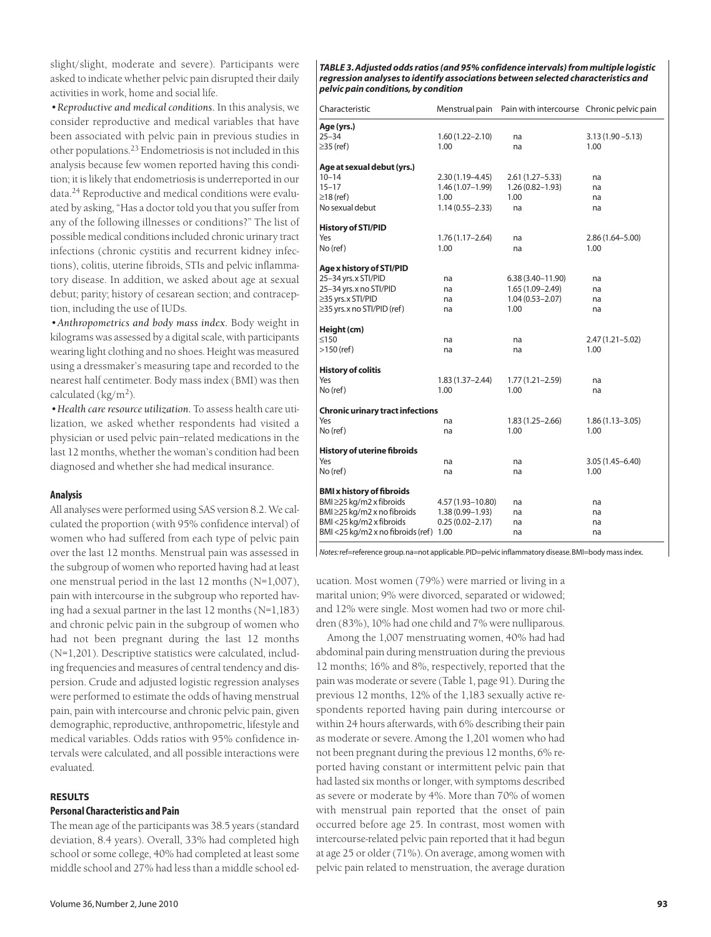slight/slight, moderate and severe). Participants were asked to indicate whether pelvic pain disrupted their daily activities in work, home and social life.

*•Reproductive and medical conditions.* In this analysis, we consider reproductive and medical variables that have been associated with pelvic pain in previous studies in other populations.23 Endometriosis is not included in this analysis because few women reported having this condition; it is likely that endometriosis is underreported in our data.<sup>24</sup> Reproductive and medical conditions were evaluated by asking, "Has a doctor told you that you suffer from any of the following illnesses or conditions?" The list of possible medical conditions included chronic urinary tract infections (chronic cystitis and recurrent kidney infections), colitis, uterine fibroids, STIs and pelvic inflammatory disease. In addition, we asked about age at sexual debut; parity; history of cesarean section; and contraception, including the use of IUDs.

*•Anthropometrics and body mass index.* Body weight in kilograms was assessed by a digital scale, with participants wearing light clothing and no shoes. Height was measured using a dressmaker's measuring tape and recorded to the nearest half centimeter. Body mass index (BMI) was then calculated  $(kg/m<sup>2</sup>)$ .

*•Health care resource utilization.* To assess health care utilization, we asked whether respondents had visited a physician or used pelvic pain–related medications in the last 12 months, whether the woman's condition had been diagnosed and whether she had medical insurance.

#### **Analysis**

All analyses were performed using SAS version 8.2. We calculated the proportion (with 95% confidence interval) of women who had suffered from each type of pelvic pain over the last 12 months. Menstrual pain was assessed in the subgroup of women who reported having had at least one menstrual period in the last 12 months (N=1,007), pain with intercourse in the subgroup who reported having had a sexual partner in the last 12 months (N=1,183) and chronic pelvic pain in the subgroup of women who had not been pregnant during the last 12 months (N=1,201). Descriptive statistics were calculated, including frequencies and measures of central tendency and dispersion. Crude and adjusted logistic regression analyses were performed to estimate the odds of having menstrual pain, pain with intercourse and chronic pelvic pain, given demographic, reproductive, anthropometric, lifestyle and medical variables. Odds ratios with 95% confidence intervals were calculated, and all possible interactions were evaluated.

#### **RESULTS**

# **Personal Characteristics and Pain**

The mean age of the participants was 38.5 years (standard deviation, 8.4 years). Overall, 33% had completed high school or some college, 40% had completed at least some middle school and 27% had less than a middle school ed-

*TABLE 3. Adjusted odds ratios (and 95% confidence intervals) from multiple logistic regression analyses to identify associations between selected characteristics and pelvic pain conditions, by condition*

| Characteristic                           |                     | Menstrual pain Pain with intercourse Chronic pelvic pain |                     |
|------------------------------------------|---------------------|----------------------------------------------------------|---------------------|
| Age (yrs.)                               |                     |                                                          |                     |
| $25 - 34$                                | $1.60(1.22 - 2.10)$ | na                                                       | $3.13(1.90 - 5.13)$ |
| $\geq$ 35 (ref)                          | 1.00                | na                                                       | 1.00                |
| Age at sexual debut (yrs.)               |                     |                                                          |                     |
| $10 - 14$                                | $2.30(1.19 - 4.45)$ | $2.61(1.27 - 5.33)$                                      | na                  |
| $15 - 17$                                | 1.46 (1.07-1.99)    | $1.26(0.82 - 1.93)$                                      | na                  |
| $\geq$ 18 (ref)                          | 1.00                | 1.00                                                     | na                  |
| No sexual debut                          | $1.14(0.55 - 2.33)$ | na                                                       | na                  |
| <b>History of STI/PID</b>                |                     |                                                          |                     |
| Yes                                      | $1.76(1.17 - 2.64)$ | na                                                       | $2.86(1.64 - 5.00)$ |
| No (ref)                                 | 1.00                | na                                                       | 1.00                |
| Age x history of STI/PID                 |                     |                                                          |                     |
| 25-34 yrs.x STI/PID                      | na                  | 6.38 (3.40–11.90)                                        | na                  |
| 25-34 yrs. x no STI/PID                  | na                  | $1.65(1.09 - 2.49)$                                      | na                  |
| $\geq$ 35 yrs. x STI/PID                 | na                  | $1.04(0.53 - 2.07)$                                      | na                  |
| $\geq$ 35 yrs. x no STI/PID (ref)        | na                  | 1.00                                                     | na                  |
| Height (cm)                              |                     |                                                          |                     |
| $\leq150$                                | na                  | na                                                       | $2.47(1.21 - 5.02)$ |
| $>150$ (ref)                             | na                  | na                                                       | 1.00                |
| <b>History of colitis</b>                |                     |                                                          |                     |
| Yes                                      | 1.83 (1.37-2.44)    | $1.77(1.21 - 2.59)$                                      | na                  |
| No (ref)                                 | 1.00                | 1.00                                                     | na                  |
| <b>Chronic urinary tract infections</b>  |                     |                                                          |                     |
| Yes                                      | na                  | $1.83(1.25 - 2.66)$                                      | $1.86(1.13 - 3.05)$ |
| No (ref)                                 | na                  | 1.00                                                     | 1.00                |
| <b>History of uterine fibroids</b>       |                     |                                                          |                     |
| Yes                                      | na                  | na                                                       | 3.05 (1.45–6.40)    |
| No (ref)                                 | na                  | na                                                       | 1.00                |
| <b>BMI x history of fibroids</b>         |                     |                                                          |                     |
| BMI ≥25 kg/m2 x fibroids                 | 4.57 (1.93-10.80)   | na                                                       | na                  |
| BMI ≥25 kg/m2 x no fibroids              | $1.38(0.99 - 1.93)$ | na                                                       | na                  |
| BMI <25 kg/m2 x fibroids                 | $0.25(0.02 - 2.17)$ | na                                                       | na                  |
| BMI <25 kg/m2 x no fibroids (ref) $1.00$ |                     | na                                                       | na                  |
|                                          |                     |                                                          |                     |

*Notes:*ref=reference group.na=not applicable.PID=pelvic inflammatory disease.BMI=body mass index.

ucation. Most women (79%) were married or living in a marital union; 9% were divorced, separated or widowed; and 12% were single. Most women had two or more children (83%), 10% had one child and 7% were nulliparous.

Among the 1,007 menstruating women, 40% had had abdominal pain during menstruation during the previous 12 months; 16% and 8%, respectively, reported that the pain was moderate or severe (Table 1, page 91). During the previous 12 months, 12% of the 1,183 sexually active respondents reported having pain during intercourse or within 24 hours afterwards, with 6% describing their pain as moderate or severe. Among the 1,201 women who had not been pregnant during the previous 12 months, 6% reported having constant or intermittent pelvic pain that had lasted six months or longer, with symptoms described as severe or moderate by 4%. More than 70% of women with menstrual pain reported that the onset of pain occurred before age 25. In contrast, most women with intercourse-related pelvic pain reported that it had begun at age 25 or older (71%). On average, among women with pelvic pain related to menstruation, the average duration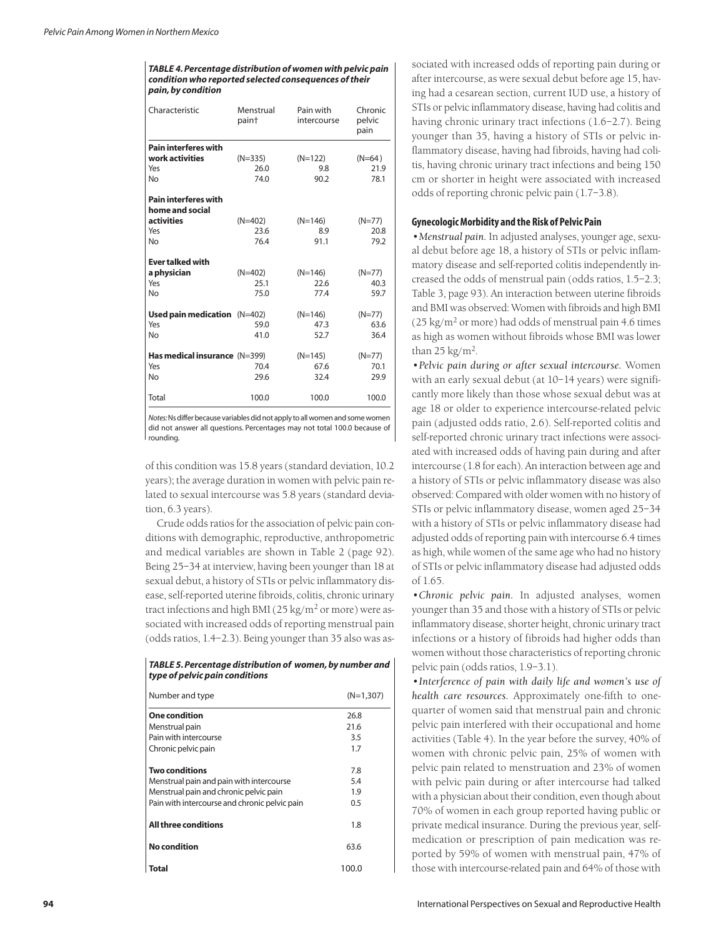*TABLE 4. Percentage distribution of women with pelvic pain condition who reported selected consequences of their pain, by condition*

| Characteristic                       | Menstrual<br>pain† | Pain with<br>intercourse | Chronic<br>pelvic<br>pain |
|--------------------------------------|--------------------|--------------------------|---------------------------|
| <b>Pain interferes with</b>          |                    |                          |                           |
| work activities                      | $(N=335)$          | $(N=122)$                | $(N=64)$                  |
| Yes                                  | 26.0               | 9.8                      | 21.9                      |
| No                                   | 74.0               | 90.2                     | 78.1                      |
| <b>Pain interferes with</b>          |                    |                          |                           |
| home and social                      |                    |                          |                           |
| activities                           | $(N=402)$          | $(N=146)$                | $(N=77)$                  |
| Yes                                  | 23.6               | 8.9                      | 20.8                      |
| No                                   | 76.4               | 91.1                     | 79.2                      |
| <b>Ever talked with</b>              |                    |                          |                           |
| a physician                          | $(N=402)$          | $(N=146)$                | (N=77)                    |
| Yes                                  | 25.1               | 22.6                     | 40.3                      |
| No                                   | 75.0               | 77.4                     | 59.7                      |
|                                      |                    |                          |                           |
| Used pain medication $(N=402)$       |                    | $(N=146)$                | $(N=77)$                  |
| Yes                                  | 59.0               | 47.3                     | 63.6                      |
| No                                   | 41.0               | 52.7                     | 36.4                      |
| <b>Has medical insurance</b> (N=399) |                    | $(N=145)$                | $(N=77)$                  |
| Yes                                  | 70.4               | 67.6                     | 70.1                      |
| No                                   | 29.6               | 32.4                     | 29.9                      |
|                                      |                    |                          |                           |
| Total                                | 100.0              | 100.0                    | 100.0                     |

*Notes:*Ns differ because variables did not apply to all women and some women did not answer all questions. Percentages may not total 100.0 because of rounding.

of this condition was 15.8 years (standard deviation, 10.2 years); the average duration in women with pelvic pain related to sexual intercourse was 5.8 years (standard deviation, 6.3 years).

Crude odds ratios for the association of pelvic pain conditions with demographic, reproductive, anthropometric and medical variables are shown in Table 2 (page 92). Being 25–34 at interview, having been younger than 18 at sexual debut, a history of STIs or pelvic inflammatory disease, self-reported uterine fibroids, colitis, chronic urinary tract infections and high BMI ( $25 \text{ kg/m}^2$  or more) were associated with increased odds of reporting menstrual pain (odds ratios, 1.4–2.3). Being younger than 35 also was as-

*TABLE 5. Percentage distribution of women, by number and type of pelvic pain conditions*

| Number and type                               | $(N=1.307)$ |
|-----------------------------------------------|-------------|
| One condition                                 | 26.8        |
| Menstrual pain                                | 21.6        |
| Pain with intercourse                         | 3.5         |
| Chronic pelvic pain                           | 1.7         |
|                                               |             |
| Two conditions                                | 7.8         |
| Menstrual pain and pain with intercourse      | 5.4         |
| Menstrual pain and chronic pelvic pain        | 1.9         |
| Pain with intercourse and chronic pelvic pain | 0.5         |
|                                               |             |
| All three conditions                          | 1.8         |
| No condition                                  | 63.6        |
|                                               |             |
| Total                                         | 100.0       |

sociated with increased odds of reporting pain during or after intercourse, as were sexual debut before age 15, having had a cesarean section, current IUD use, a history of STIs or pelvic inflammatory disease, having had colitis and having chronic urinary tract infections (1.6–2.7). Being younger than 35, having a history of STIs or pelvic inflammatory disease, having had fibroids, having had colitis, having chronic urinary tract infections and being 150 cm or shorter in height were associated with increased odds of reporting chronic pelvic pain (1.7–3.8).

# **Gynecologic Morbidity and the Risk of Pelvic Pain**

*•Menstrual pain.* In adjusted analyses, younger age, sexual debut before age 18, a history of STIs or pelvic inflammatory disease and self-reported colitis independently increased the odds of menstrual pain (odds ratios, 1.5–2.3; Table 3, page 93). An interaction between uterine fibroids and BMI was observed: Women with fibroids and high BMI  $(25 \text{ kg/m}^2 \text{ or more})$  had odds of menstrual pain 4.6 times as high as women without fibroids whose BMI was lower than  $25 \text{ kg/m}^2$ .

*•Pelvic pain during or after sexual intercourse.* Women with an early sexual debut (at 10–14 years) were significantly more likely than those whose sexual debut was at age 18 or older to experience intercourse-related pelvic pain (adjusted odds ratio, 2.6). Self-reported colitis and self-reported chronic urinary tract infections were associated with increased odds of having pain during and after intercourse (1.8 for each). An interaction between age and a history of STIs or pelvic inflammatory disease was also observed: Compared with older women with no history of STIs or pelvic inflammatory disease, women aged 25–34 with a history of STIs or pelvic inflammatory disease had adjusted odds of reporting pain with intercourse 6.4 times as high, while women of the same age who had no history of STIs or pelvic inflammatory disease had adjusted odds of 1.65.

*•Chronic pelvic pain.* In adjusted analyses, women younger than 35 and those with a history of STIs or pelvic inflammatory disease, shorter height, chronic urinary tract infections or a history of fibroids had higher odds than women without those characteristics of reporting chronic pelvic pain (odds ratios, 1.9–3.1).

*•Interference of pain with daily life and women's use of health care resources.* Approximately one-fifth to onequarter of women said that menstrual pain and chronic pelvic pain interfered with their occupational and home activities (Table 4). In the year before the survey, 40% of women with chronic pelvic pain, 25% of women with pelvic pain related to menstruation and 23% of women with pelvic pain during or after intercourse had talked with a physician about their condition, even though about 70% of women in each group reported having public or private medical insurance. During the previous year, selfmedication or prescription of pain medication was reported by 59% of women with menstrual pain, 47% of those with intercourse-related pain and 64% of those with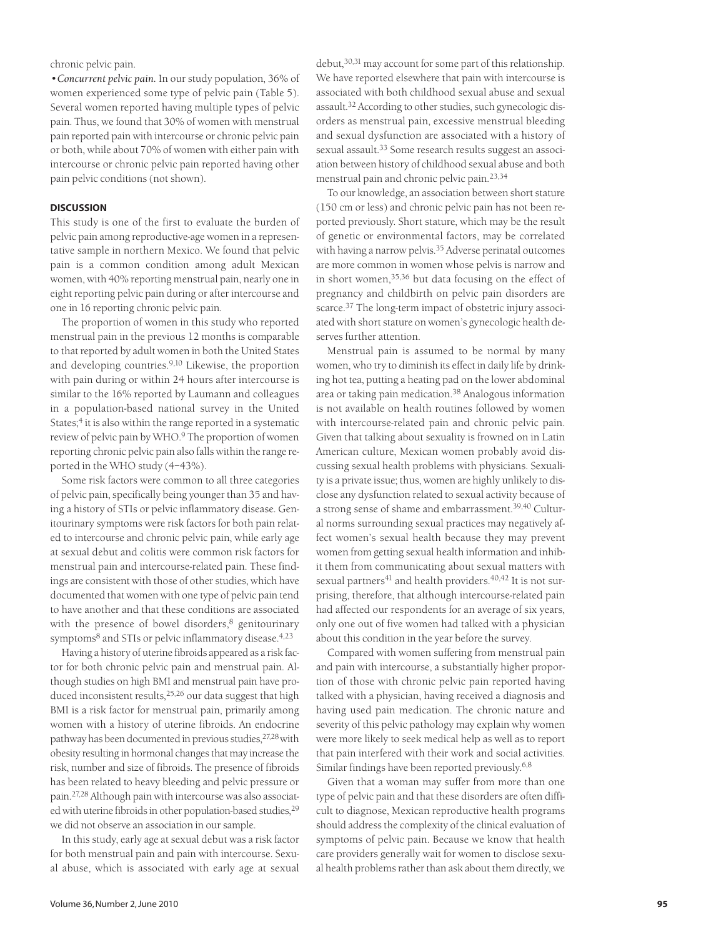chronic pelvic pain.

*•Concurrent pelvic pain.* In our study population, 36% of women experienced some type of pelvic pain (Table 5). Several women reported having multiple types of pelvic pain. Thus, we found that 30% of women with menstrual pain reported pain with intercourse or chronic pelvic pain or both, while about 70% of women with either pain with intercourse or chronic pelvic pain reported having other pain pelvic conditions (not shown).

### **DISCUSSION**

This study is one of the first to evaluate the burden of pelvic pain among reproductive-age women in a representative sample in northern Mexico. We found that pelvic pain is a common condition among adult Mexican women, with 40% reporting menstrual pain, nearly one in eight reporting pelvic pain during or after intercourse and one in 16 reporting chronic pelvic pain.

The proportion of women in this study who reported menstrual pain in the previous 12 months is comparable to that reported by adult women in both the United States and developing countries.9,10 Likewise, the proportion with pain during or within 24 hours after intercourse is similar to the 16% reported by Laumann and colleagues in a population-based national survey in the United States;<sup>4</sup> it is also within the range reported in a systematic review of pelvic pain by WHO.<sup>9</sup> The proportion of women reporting chronic pelvic pain also falls within the range reported in the WHO study (4–43%).

Some risk factors were common to all three categories of pelvic pain, specifically being younger than 35 and having a history of STIs or pelvic inflammatory disease. Genitourinary symptoms were risk factors for both pain related to intercourse and chronic pelvic pain, while early age at sexual debut and colitis were common risk factors for menstrual pain and intercourse-related pain. These findings are consistent with those of other studies, which have documented that women with one type of pelvic pain tend to have another and that these conditions are associated with the presence of bowel disorders, $8$  genitourinary symptoms<sup>8</sup> and STIs or pelvic inflammatory disease.<sup>4,23</sup>

Having a history of uterine fibroids appeared as a risk factor for both chronic pelvic pain and menstrual pain. Although studies on high BMI and menstrual pain have produced inconsistent results,25,26 our data suggest that high BMI is a risk factor for menstrual pain, primarily among women with a history of uterine fibroids. An endocrine pathway has been documented in previous studies, <sup>27,28</sup> with obesity resulting in hormonal changes that may increase the risk, number and size of fibroids. The presence of fibroids has been related to heavy bleeding and pelvic pressure or pain.27,28 Although pain with intercourse was also associated with uterine fibroids in other population-based studies, <sup>29</sup> we did not observe an association in our sample.

In this study, early age at sexual debut was a risk factor for both menstrual pain and pain with intercourse. Sexual abuse, which is associated with early age at sexual

debut,<sup>30,31</sup> may account for some part of this relationship. We have reported elsewhere that pain with intercourse is associated with both childhood sexual abuse and sexual assault.32 According to other studies, such gynecologic disorders as menstrual pain, excessive menstrual bleeding and sexual dysfunction are associated with a history of sexual assault.<sup>33</sup> Some research results suggest an association between history of childhood sexual abuse and both menstrual pain and chronic pelvic pain.23,34

To our knowledge, an association between short stature (150 cm or less) and chronic pelvic pain has not been reported previously. Short stature, which may be the result of genetic or environmental factors, may be correlated with having a narrow pelvis.<sup>35</sup> Adverse perinatal outcomes are more common in women whose pelvis is narrow and in short women,35,36 but data focusing on the effect of pregnancy and childbirth on pelvic pain disorders are scarce.<sup>37</sup> The long-term impact of obstetric injury associated with short stature on women's gynecologic health deserves further attention.

Menstrual pain is assumed to be normal by many women, who try to diminish its effect in daily life by drinking hot tea, putting a heating pad on the lower abdominal area or taking pain medication.38 Analogous information is not available on health routines followed by women with intercourse-related pain and chronic pelvic pain. Given that talking about sexuality is frowned on in Latin American culture, Mexican women probably avoid discussing sexual health problems with physicians. Sexuality is a private issue; thus, women are highly unlikely to disclose any dysfunction related to sexual activity because of a strong sense of shame and embarrassment.<sup>39,40</sup> Cultural norms surrounding sexual practices may negatively affect women's sexual health because they may prevent women from getting sexual health information and inhibit them from communicating about sexual matters with sexual partners<sup>41</sup> and health providers.<sup>40,42</sup> It is not surprising, therefore, that although intercourse-related pain had affected our respondents for an average of six years, only one out of five women had talked with a physician about this condition in the year before the survey.

Compared with women suffering from menstrual pain and pain with intercourse, a substantially higher proportion of those with chronic pelvic pain reported having talked with a physician, having received a diagnosis and having used pain medication. The chronic nature and severity of this pelvic pathology may explain why women were more likely to seek medical help as well as to report that pain interfered with their work and social activities. Similar findings have been reported previously.<sup>6,8</sup>

Given that a woman may suffer from more than one type of pelvic pain and that these disorders are often difficult to diagnose, Mexican reproductive health programs should address the complexity of the clinical evaluation of symptoms of pelvic pain. Because we know that health care providers generally wait for women to disclose sexual health problems rather than ask about them directly, we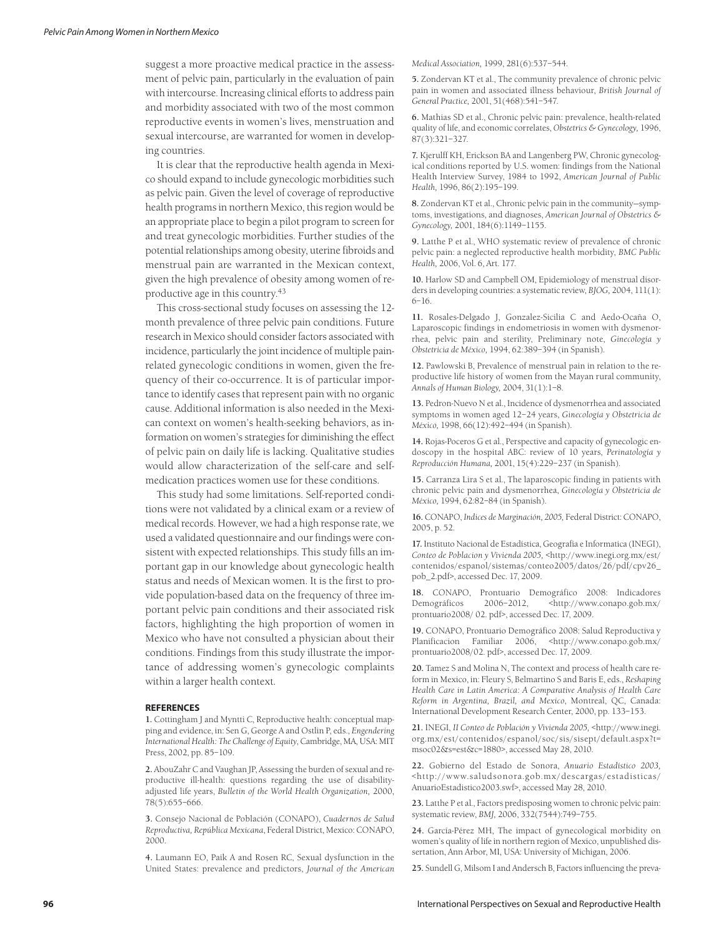suggest a more proactive medical practice in the assessment of pelvic pain, particularly in the evaluation of pain with intercourse. Increasing clinical efforts to address pain and morbidity associated with two of the most common reproductive events in women's lives, menstruation and sexual intercourse, are warranted for women in developing countries.

It is clear that the reproductive health agenda in Mexico should expand to include gynecologic morbidities such as pelvic pain. Given the level of coverage of reproductive health programs in northern Mexico, this region would be an appropriate place to begin a pilot program to screen for and treat gynecologic morbidities. Further studies of the potential relationships among obesity, uterine fibroids and menstrual pain are warranted in the Mexican context, given the high prevalence of obesity among women of reproductive age in this country.43

This cross-sectional study focuses on assessing the 12 month prevalence of three pelvic pain conditions. Future research in Mexico should consider factors associated with incidence, particularly the joint incidence of multiple painrelated gynecologic conditions in women, given the frequency of their co-occurrence. It is of particular importance to identify cases that represent pain with no organic cause. Additional information is also needed in the Mexican context on women's health-seeking behaviors, as information on women's strategies for diminishing the effect of pelvic pain on daily life is lacking. Qualitative studies would allow characterization of the self-care and selfmedication practices women use for these conditions.

This study had some limitations. Self-reported conditions were not validated by a clinical exam or a review of medical records. However, we had a high response rate, we used a validated questionnaire and our findings were consistent with expected relationships. This study fills an important gap in our knowledge about gynecologic health status and needs of Mexican women. It is the first to provide population-based data on the frequency of three important pelvic pain conditions and their associated risk factors, highlighting the high proportion of women in Mexico who have not consulted a physician about their conditions. Findings from this study illustrate the importance of addressing women's gynecologic complaints within a larger health context.

#### **REFERENCES**

**1.** Cottingham J and Myntti C, Reproductive health: conceptual mapping and evidence, in: Sen G, George A and Ostlin P, eds., *Engendering International Health: The Challenge of Equity*, Cambridge, MA, USA: MIT Press, 2002, pp. 85–109.

**2.** AbouZahr C and Vaughan JP, Assessing the burden of sexual and reproductive ill-health: questions regarding the use of disabilityadjusted life years, *Bulletin of the World Health Organization,* 2000, 78(5):655–666.

**3.** Consejo Nacional de Población (CONAPO), *Cuadernos de Salud Reproductiva, República Mexicana*, Federal District, Mexico: CONAPO, 2000.

**4.** Laumann EO, Paik A and Rosen RC, Sexual dysfunction in the United States: prevalence and predictors, *Journal of the American* *Medical Association,* 1999, 281(6):537–544.

**5.** Zondervan KT et al., The community prevalence of chronic pelvic pain in women and associated illness behaviour, *British Journal of General Practice,* 2001, 51(468):541–547.

**6.** Mathias SD et al., Chronic pelvic pain: prevalence, health-related quality of life, and economic correlates, *Obstetrics & Gynecology,* 1996, 87(3):321–327.

**7.** Kjerulff KH, Erickson BA and Langenberg PW, Chronic gynecological conditions reported by U.S. women: findings from the National Health Interview Survey, 1984 to 1992, *American Journal of Public Health,* 1996, 86(2):195–199.

**8.** Zondervan KT et al., Chronic pelvic pain in the community—symptoms, investigations, and diagnoses, *American Journal of Obstetrics & Gynecology,* 2001, 184(6):1149–1155.

**9.** Latthe P et al., WHO systematic review of prevalence of chronic pelvic pain: a neglected reproductive health morbidity, *BMC Public Health,* 2006, Vol. 6, Art. 177.

**10.** Harlow SD and Campbell OM, Epidemiology of menstrual disorders in developing countries: a systematic review, *BJOG,* 2004, 111(1): 6–16.

**11.** Rosales-Delgado J, Gonzalez-Sicilia C and Aedo-Ocaña O, Laparoscopic findings in endometriosis in women with dysmenorrhea, pelvic pain and sterility, Preliminary note, *Ginecología y Obstetricia de México,* 1994, 62:389–394 (in Spanish).

**12.** Pawlowski B, Prevalence of menstrual pain in relation to the reproductive life history of women from the Mayan rural community, *Annals of Human Biology,* 2004, 31(1):1–8.

**13.** Pedron-Nuevo N et al., Incidence of dysmenorrhea and associated symptoms in women aged 12–24 years, *Ginecología y Obstetricia de México,* 1998, 66(12):492–494 (in Spanish).

**14.** Rojas-Poceros G et al., Perspective and capacity of gynecologic endoscopy in the hospital ABC: review of 10 years, *Perinatología y Reproducción Humana,* 2001, 15(4):229–237 (in Spanish).

**15.** Carranza Lira S et al., The laparoscopic finding in patients with chronic pelvic pain and dysmenorrhea, *Ginecología y Obstetricia de México,* 1994, 62:82–84 (in Spanish).

**16.** CONAPO, *Indices de Marginación, 2005,* Federal District: CONAPO, 2005, p. 52.

**17.** Instituto Nacional de Estadística, Geografía e Informatica (INEGI), *Conteo de Poblacion y Vivienda 2005,* <http://www.inegi.org.mx/est/ contenidos/espanol/sistemas/conteo2005/datos/26/pdf/cpv26\_ pob\_2.pdf>, accessed Dec. 17, 2009.

**18.** CONAPO, Prontuario Demográfico 2008: Indicadores Demográficos 2006–2012, <http://www.conapo.gob.mx/ prontuario2008/ 02. pdf>, accessed Dec. 17, 2009.

**19.** CONAPO, Prontuario Demográfico 2008: Salud Reproductiva y Planificacion Familiar 2006, <http://www.conapo.gob.mx/ prontuario2008/02. pdf>, accessed Dec. 17, 2009.

**20.** Tamez S and Molina N, The context and process of health care reform in Mexico, in: Fleury S, Belmartino S and Baris E, eds., *Reshaping Health Care in Latin America: A Comparative Analysis of Health Care Reform in Argentina, Brazil, and Mexico*, Montreal, QC, Canada: International Development Research Center, 2000, pp. 133–153.

**21.** INEGI, *II Conteo de Población y Vivienda 2005,* <http://www.inegi. org.mx/est/contenidos/espanol/soc/sis/sisept/default.aspx?t= msoc02&s=est&c=1880>, accessed May 28, 2010.

**22.** Gobierno del Estado de Sonora, *Anuario Estadístico 2003,* <http://www.saludsonora.gob.mx/descargas/estadisticas/ AnuarioEstadistico2003.swf>, accessed May 28, 2010.

**23.** Latthe P et al., Factors predisposing women to chronic pelvic pain: systematic review, *BMJ,* 2006, 332(7544):749–755.

**24.** García-Pérez MH, The impact of gynecological morbidity on women's quality of life in northern region of Mexico, unpublished dissertation, Ann Arbor, MI, USA: University of Michigan, 2006.

**25.** Sundell G, Milsom I and Andersch B, Factors influencing the preva-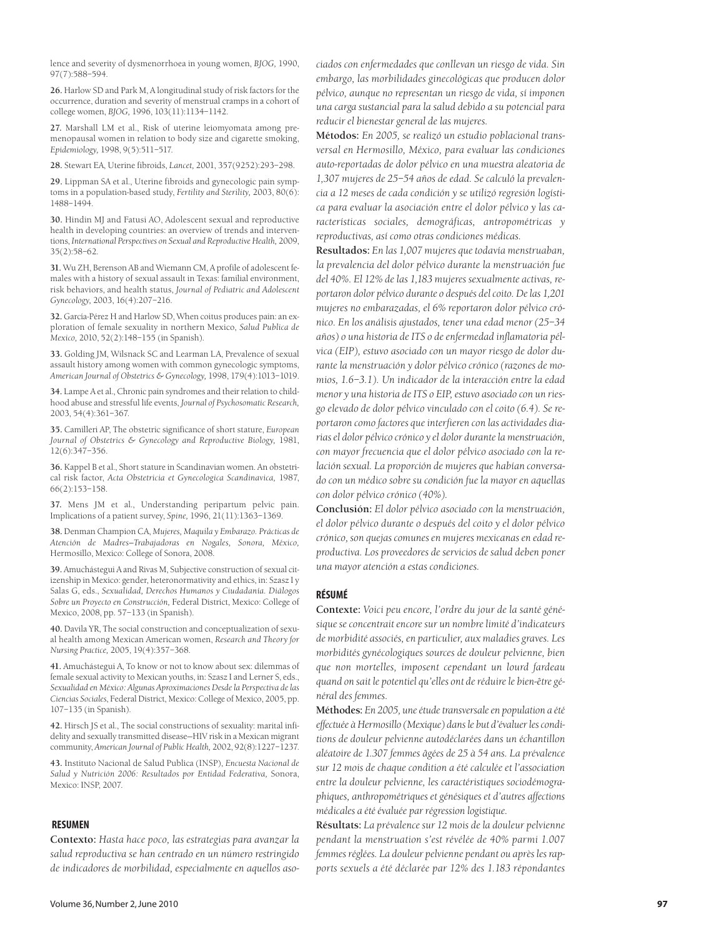lence and severity of dysmenorrhoea in young women, *BJOG,* 1990, 97(7):588–594.

**26.** Harlow SD and Park M, A longitudinal study of risk factors for the occurrence, duration and severity of menstrual cramps in a cohort of college women, *BJOG,* 1996, 103(11):1134–1142.

**27.** Marshall LM et al., Risk of uterine leiomyomata among premenopausal women in relation to body size and cigarette smoking, *Epidemiology,* 1998, 9(5):511–517.

**28.** Stewart EA, Uterine fibroids, *Lancet,* 2001, 357(9252):293–298.

**29.** Lippman SA et al., Uterine fibroids and gynecologic pain symptoms in a population-based study, *Fertility and Sterility,* 2003, 80(6): 1488–1494.

**30.** Hindin MJ and Fatusi AO, Adolescent sexual and reproductive health in developing countries: an overview of trends and interventions, *International Perspectives on Sexual and Reproductive Health,* 2009, 35(2):58–62.

**31.** Wu ZH, Berenson AB and Wiemann CM, A profile of adolescent females with a history of sexual assault in Texas: familial environment, risk behaviors, and health status, *Journal of Pediatric and Adolescent Gynecology,* 2003, 16(4):207–216.

**32.** García-Pérez H and Harlow SD, When coitus produces pain: an exploration of female sexuality in northern Mexico, *Salud Publica de Mexico,* 2010, 52(2):148–155 (in Spanish).

**33.** Golding JM, Wilsnack SC and Learman LA, Prevalence of sexual assault history among women with common gynecologic symptoms, *American Journal of Obstetrics & Gynecology,* 1998, 179(4):1013–1019.

**34.** Lampe A et al., Chronic pain syndromes and their relation to childhood abuse and stressful life events, *Journal of Psychosomatic Research,* 2003, 54(4):361–367.

**35.** Camilleri AP, The obstetric significance of short stature, *European Journal of Obstetrics & Gynecology and Reproductive Biology,* 1981, 12(6):347–356.

**36.** Kappel B et al., Short stature in Scandinavian women. An obstetrical risk factor, *Acta Obstetricia et Gynecologica Scandinavica,* 1987, 66(2):153–158.

**37.** Mens JM et al., Understanding peripartum pelvic pain. Implications of a patient survey, *Spine,* 1996, 21(11):1363–1369.

**38.** Denman Champion CA, *Mujeres, Maquila y Embarazo. Prácticas de Atención de Madres—Trabajadoras en Nogales, Sonora, México,* Hermosillo, Mexico: College of Sonora, 2008.

**39.** Amuchástegui A and Rivas M, Subjective construction of sexual citizenship in Mexico: gender, heteronormativity and ethics, in: Szasz I y Salas G, eds., *Sexualidad, Derechos Humanos y Ciudadanía. Diálogos Sobre un Proyecto en Construcción,* Federal District, Mexico: College of Mexico, 2008, pp. 57–133 (in Spanish).

**40.** Davila YR, The social construction and conceptualization of sexual health among Mexican American women, *Research and Theory for Nursing Practice,* 2005, 19(4):357–368.

**41.** Amuchástegui A, To know or not to know about sex: dilemmas of female sexual activity to Mexican youths, in: Szasz I and Lerner S, eds., *Sexualidad en México: Algunas Aproximaciones Desde la Perspectiva de las Ciencias Sociales*, Federal District, Mexico: College of Mexico, 2005, pp. 107–135 (in Spanish).

**42.** Hirsch JS et al., The social constructions of sexuality: marital infidelity and sexually transmitted disease—HIV risk in a Mexican migrant community, *American Journal of Public Health,* 2002, 92(8):1227–1237.

**43.** Instituto Nacional de Salud Publica (INSP), *Encuesta Nacional de Salud y Nutrición 2006: Resultados por Entidad Federativa,* Sonora, Mexico: INSP, 2007.

#### **RESUMEN**

**Contexto:** *Hasta hace poco, las estrategias para avanzar la salud reproductiva se han centrado en un número restringido de indicadores de morbilidad, especialmente en aquellos aso-* *ciados con enfermedades que conllevan un riesgo de vida. Sin embargo, las morbilidades ginecológicas que producen dolor pélvico, aunque no representan un riesgo de vida, sí imponen una carga sustancial para la salud debido a su potencial para reducir el bienestar general de las mujeres.*

**Métodos:** *En 2005, se realizó un estudio poblacional transversal en Hermosillo, México, para evaluar las condiciones auto-reportadas de dolor pélvico en una muestra aleatoria de 1,307 mujeres de 25–54 años de edad. Se calculó la prevalencia a 12 meses de cada condición y se utilizó regresión logística para evaluar la asociación entre el dolor pélvico y las características sociales, demográficas, antropométricas y reproductivas, así como otras condiciones médicas.*

**Resultados:** *En las 1,007 mujeres que todavía menstruaban, la prevalencia del dolor pélvico durante la menstruación fue del 40%. El 12% de las 1,183 mujeres sexualmente activas, reportaron dolor pélvico durante o después del coito. De las 1,201 mujeres no embarazadas, el 6% reportaron dolor pélvico crónico. En los análisis ajustados, tener una edad menor (25–34 años) o una historia de ITS o de enfermedad inflamatoria pélvica (EIP), estuvo asociado con un mayor riesgo de dolor durante la menstruación y dolor pélvico crónico (razones de momios, 1.6–3.1). Un indicador de la interacción entre la edad menor y una historia de ITS o EIP, estuvo asociado con un riesgo elevado de dolor pélvico vinculado con el coito (6.4). Se reportaron como factores que interfieren con las actividades diarias el dolor pélvico crónico y el dolor durante la menstruación, con mayor frecuencia que el dolor pélvico asociado con la relación sexual. La proporción de mujeres que habían conversado con un médico sobre su condición fue la mayor en aquellas con dolor pélvico crónico (40%).*

**Conclusión:** *El dolor pélvico asociado con la menstruación, el dolor pélvico durante o después del coito y el dolor pélvico crónico, son quejas comunes en mujeres mexicanas en edad reproductiva. Los proveedores de servicios de salud deben poner una mayor atención a estas condiciones.*

# **RÉSUMÉ**

**Contexte:** *Voici peu encore, l'ordre du jour de la santé génésique se concentrait encore sur un nombre limité d'indicateurs de morbidité associés, en particulier, aux maladies graves. Les morbidités gynécologiques sources de douleur pelvienne, bien que non mortelles, imposent cependant un lourd fardeau quand on sait le potentiel qu'elles ont de réduire le bien-être général des femmes.*

**Méthodes:** *En 2005, une étude transversale en population a été effectuée à Hermosillo (Mexique) dans le but d'évaluer les conditions de douleur pelvienne autodéclarées dans un échantillon aléatoire de 1.307 femmes âgées de 25 à 54 ans. La prévalence sur 12 mois de chaque condition a été calculée et l'association entre la douleur pelvienne, les caractéristiques sociodémographiques, anthropométriques et génésiques et d'autres affections médicales a été évaluée par régression logistique.*

**Résultats:** *La prévalence sur 12 mois de la douleur pelvienne pendant la menstruation s'est révélée de 40% parmi 1.007 femmes réglées. La douleur pelvienne pendant ou après les rapports sexuels a été déclarée par 12% des 1.183 répondantes*